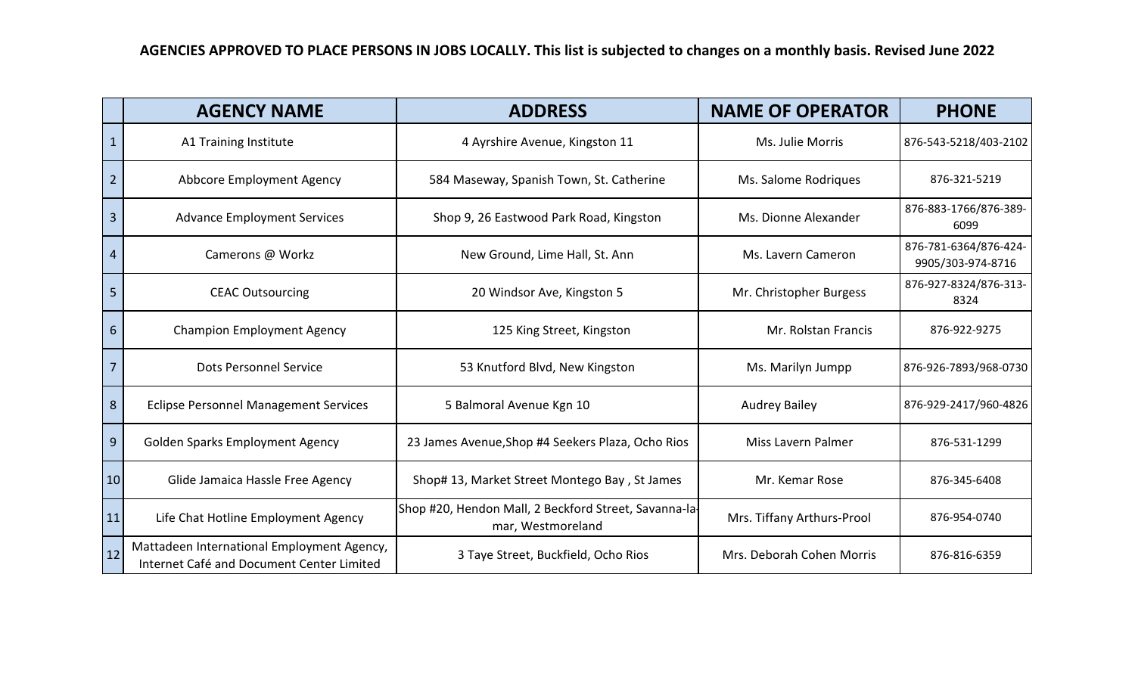|           | <b>AGENCY NAME</b>                                                                      | <b>ADDRESS</b>                                                             | <b>NAME OF OPERATOR</b>    | <b>PHONE</b>                               |
|-----------|-----------------------------------------------------------------------------------------|----------------------------------------------------------------------------|----------------------------|--------------------------------------------|
|           | A1 Training Institute                                                                   | 4 Ayrshire Avenue, Kingston 11                                             | Ms. Julie Morris           | 876-543-5218/403-2102                      |
| 2         | Abbcore Employment Agency                                                               | 584 Maseway, Spanish Town, St. Catherine                                   | Ms. Salome Rodrigues       | 876-321-5219                               |
| 3         | <b>Advance Employment Services</b>                                                      | Shop 9, 26 Eastwood Park Road, Kingston                                    | Ms. Dionne Alexander       | 876-883-1766/876-389-<br>6099              |
| 4         | Camerons @ Workz                                                                        | New Ground, Lime Hall, St. Ann                                             | Ms. Lavern Cameron         | 876-781-6364/876-424-<br>9905/303-974-8716 |
| 5         | <b>CEAC Outsourcing</b>                                                                 | 20 Windsor Ave, Kingston 5                                                 | Mr. Christopher Burgess    | 876-927-8324/876-313-<br>8324              |
| 6         | <b>Champion Employment Agency</b>                                                       | 125 King Street, Kingston                                                  | Mr. Rolstan Francis        | 876-922-9275                               |
|           | Dots Personnel Service                                                                  | 53 Knutford Blvd, New Kingston                                             | Ms. Marilyn Jumpp          | 876-926-7893/968-0730                      |
| 8         | <b>Eclipse Personnel Management Services</b>                                            | 5 Balmoral Avenue Kgn 10                                                   | <b>Audrey Bailey</b>       | 876-929-2417/960-4826                      |
| 9         | <b>Golden Sparks Employment Agency</b>                                                  | 23 James Avenue, Shop #4 Seekers Plaza, Ocho Rios                          | Miss Lavern Palmer         | 876-531-1299                               |
| 10        | Glide Jamaica Hassle Free Agency                                                        | Shop# 13, Market Street Montego Bay, St James                              | Mr. Kemar Rose             | 876-345-6408                               |
| 11        | Life Chat Hotline Employment Agency                                                     | Shop #20, Hendon Mall, 2 Beckford Street, Savanna-la-<br>mar, Westmoreland | Mrs. Tiffany Arthurs-Prool | 876-954-0740                               |
| <b>12</b> | Mattadeen International Employment Agency,<br>Internet Café and Document Center Limited | 3 Taye Street, Buckfield, Ocho Rios                                        | Mrs. Deborah Cohen Morris  | 876-816-6359                               |